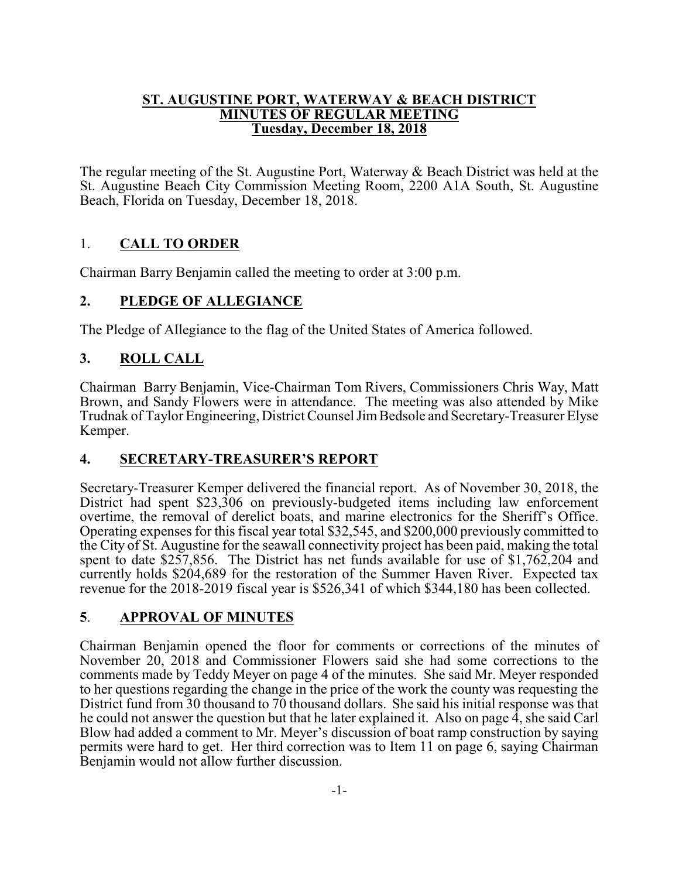#### **ST. AUGUSTINE PORT, WATERWAY & BEACH DISTRICT MINUTES OF REGULAR MEETING Tuesday, December 18, 2018**

The regular meeting of the St. Augustine Port, Waterway & Beach District was held at the St. Augustine Beach City Commission Meeting Room, 2200 A1A South, St. Augustine Beach, Florida on Tuesday, December 18, 2018.

# 1. **CALL TO ORDER**

Chairman Barry Benjamin called the meeting to order at 3:00 p.m.

# **2. PLEDGE OF ALLEGIANCE**

The Pledge of Allegiance to the flag of the United States of America followed.

# **3. ROLL CALL**

Chairman Barry Benjamin, Vice-Chairman Tom Rivers, Commissioners Chris Way, Matt Brown, and Sandy Flowers were in attendance. The meeting was also attended by Mike Trudnak of Taylor Engineering, District Counsel JimBedsole and Secretary-Treasurer Elyse Kemper.

### **4. SECRETARY-TREASURER'S REPORT**

Secretary-Treasurer Kemper delivered the financial report. As of November 30, 2018, the District had spent \$23,306 on previously-budgeted items including law enforcement overtime, the removal of derelict boats, and marine electronics for the Sheriff's Office. Operating expenses for this fiscal year total \$32,545, and \$200,000 previously committed to the City of St. Augustine for the seawall connectivity project has been paid, making the total spent to date \$257,856. The District has net funds available for use of \$1,762,204 and currently holds \$204,689 for the restoration of the Summer Haven River. Expected tax revenue for the 2018-2019 fiscal year is \$526,341 of which \$344,180 has been collected.

### **5**. **APPROVAL OF MINUTES**

Chairman Benjamin opened the floor for comments or corrections of the minutes of November 20, 2018 and Commissioner Flowers said she had some corrections to the comments made by Teddy Meyer on page 4 of the minutes. She said Mr. Meyer responded to her questions regarding the change in the price of the work the county was requesting the District fund from 30 thousand to 70 thousand dollars. She said his initial response was that he could not answer the question but that he later explained it. Also on page 4, she said Carl Blow had added a comment to Mr. Meyer's discussion of boat ramp construction by saying permits were hard to get. Her third correction was to Item 11 on page 6, saying Chairman Benjamin would not allow further discussion.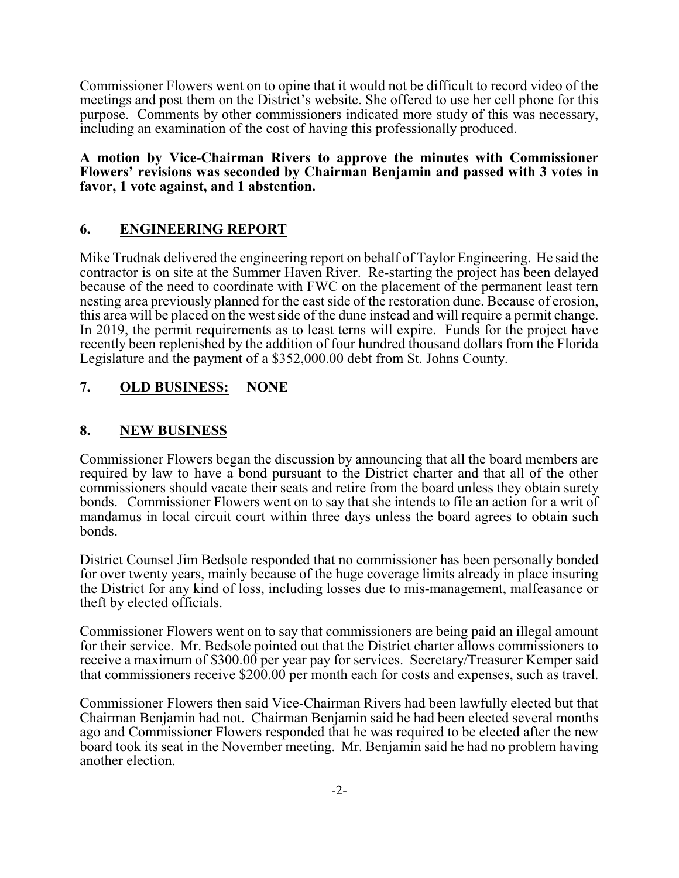Commissioner Flowers went on to opine that it would not be difficult to record video of the meetings and post them on the District's website. She offered to use her cell phone for this purpose. Comments by other commissioners indicated more study of this was necessary, including an examination of the cost of having this professionally produced.

**A motion by Vice-Chairman Rivers to approve the minutes with Commissioner Flowers' revisions was seconded by Chairman Benjamin and passed with 3 votes in favor, 1 vote against, and 1 abstention.**

# **6. ENGINEERING REPORT**

Mike Trudnak delivered the engineering report on behalf of Taylor Engineering. He said the contractor is on site at the Summer Haven River. Re-starting the project has been delayed because of the need to coordinate with FWC on the placement of the permanent least tern nesting area previously planned for the east side of the restoration dune. Because of erosion, this area will be placed on the west side of the dune instead and will require a permit change. In 2019, the permit requirements as to least terns will expire. Funds for the project have recently been replenished by the addition of four hundred thousand dollars from the Florida Legislature and the payment of a \$352,000.00 debt from St. Johns County.

# **7. OLD BUSINESS: NONE**

### **8. NEW BUSINESS**

Commissioner Flowers began the discussion by announcing that all the board members are required by law to have a bond pursuant to the District charter and that all of the other commissioners should vacate their seats and retire from the board unless they obtain surety bonds. Commissioner Flowers went on to say that she intends to file an action for a writ of mandamus in local circuit court within three days unless the board agrees to obtain such bonds.

District Counsel Jim Bedsole responded that no commissioner has been personally bonded for over twenty years, mainly because of the huge coverage limits already in place insuring the District for any kind of loss, including losses due to mis-management, malfeasance or theft by elected officials.

Commissioner Flowers went on to say that commissioners are being paid an illegal amount for their service. Mr. Bedsole pointed out that the District charter allows commissioners to receive a maximum of \$300.00 per year pay for services. Secretary/Treasurer Kemper said that commissioners receive \$200.00 per month each for costs and expenses, such as travel.

Commissioner Flowers then said Vice-Chairman Rivers had been lawfully elected but that Chairman Benjamin had not. Chairman Benjamin said he had been elected several months ago and Commissioner Flowers responded that he was required to be elected after the new board took its seat in the November meeting. Mr. Benjamin said he had no problem having another election.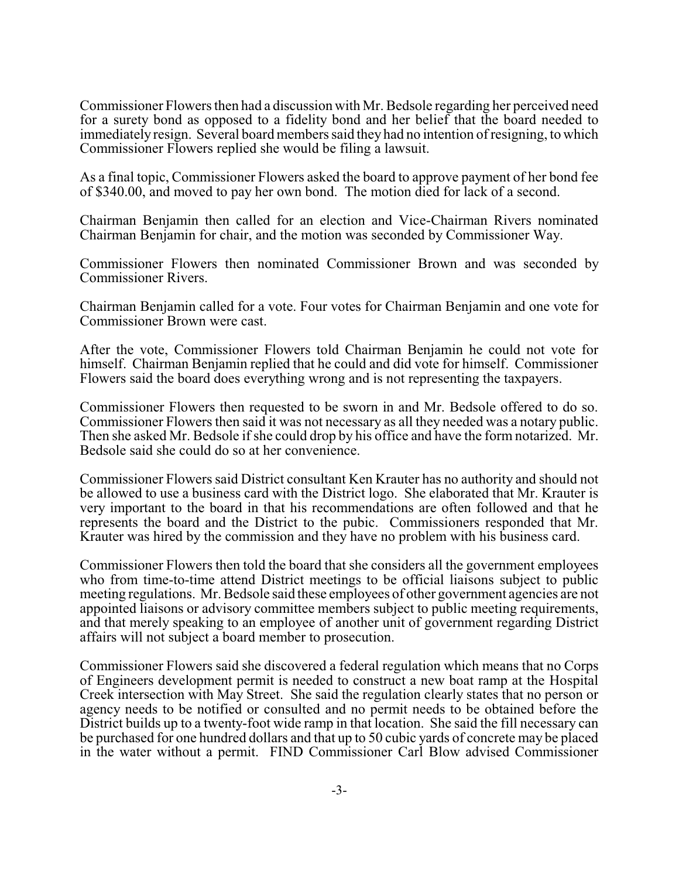Commissioner Flowers then had a discussion with Mr. Bedsole regarding her perceived need for a surety bond as opposed to a fidelity bond and her belief that the board needed to immediately resign. Several board members said they had no intention of resigning, to which Commissioner Flowers replied she would be filing a lawsuit.

As a final topic, Commissioner Flowers asked the board to approve payment of her bond fee of \$340.00, and moved to pay her own bond. The motion died for lack of a second.

Chairman Benjamin then called for an election and Vice-Chairman Rivers nominated Chairman Benjamin for chair, and the motion was seconded by Commissioner Way.

Commissioner Flowers then nominated Commissioner Brown and was seconded by Commissioner Rivers.

Chairman Benjamin called for a vote. Four votes for Chairman Benjamin and one vote for Commissioner Brown were cast.

After the vote, Commissioner Flowers told Chairman Benjamin he could not vote for himself. Chairman Benjamin replied that he could and did vote for himself. Commissioner Flowers said the board does everything wrong and is not representing the taxpayers.

Commissioner Flowers then requested to be sworn in and Mr. Bedsole offered to do so. Commissioner Flowers then said it was not necessary as all they needed was a notary public. Then she asked Mr. Bedsole if she could drop by his office and have the form notarized. Mr. Bedsole said she could do so at her convenience.

Commissioner Flowers said District consultant Ken Krauter has no authority and should not be allowed to use a business card with the District logo. She elaborated that Mr. Krauter is very important to the board in that his recommendations are often followed and that he represents the board and the District to the pubic. Commissioners responded that Mr. Krauter was hired by the commission and they have no problem with his business card.

Commissioner Flowers then told the board that she considers all the government employees who from time-to-time attend District meetings to be official liaisons subject to public meeting regulations. Mr. Bedsole said these employees of other government agencies are not appointed liaisons or advisory committee members subject to public meeting requirements, and that merely speaking to an employee of another unit of government regarding District affairs will not subject a board member to prosecution.

Commissioner Flowers said she discovered a federal regulation which means that no Corps of Engineers development permit is needed to construct a new boat ramp at the Hospital Creek intersection with May Street. She said the regulation clearly states that no person or agency needs to be notified or consulted and no permit needs to be obtained before the District builds up to a twenty-foot wide ramp in that location. She said the fill necessary can be purchased for one hundred dollars and that up to 50 cubic yards of concrete may be placed in the water without a permit. FIND Commissioner Carl Blow advised Commissioner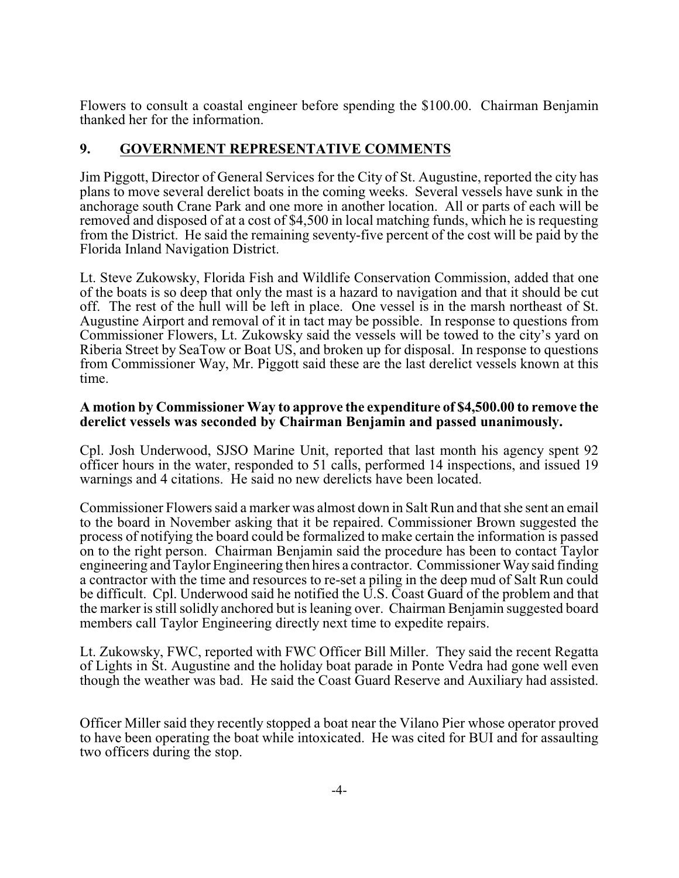Flowers to consult a coastal engineer before spending the \$100.00. Chairman Benjamin thanked her for the information.

### **9. GOVERNMENT REPRESENTATIVE COMMENTS**

Jim Piggott, Director of General Services for the City of St. Augustine, reported the city has plans to move several derelict boats in the coming weeks. Several vessels have sunk in the anchorage south Crane Park and one more in another location. All or parts of each will be removed and disposed of at a cost of \$4,500 in local matching funds, which he is requesting from the District. He said the remaining seventy-five percent of the cost will be paid by the Florida Inland Navigation District.

Lt. Steve Zukowsky, Florida Fish and Wildlife Conservation Commission, added that one of the boats is so deep that only the mast is a hazard to navigation and that it should be cut off. The rest of the hull will be left in place. One vessel is in the marsh northeast of St. Augustine Airport and removal of it in tact may be possible. In response to questions from Commissioner Flowers, Lt. Zukowsky said the vessels will be towed to the city's yard on Riberia Street by SeaTow or Boat US, and broken up for disposal. In response to questions from Commissioner Way, Mr. Piggott said these are the last derelict vessels known at this time.

#### **A motion by Commissioner Way to approve the expenditure of \$4,500.00 to remove the derelict vessels was seconded by Chairman Benjamin and passed unanimously.**

Cpl. Josh Underwood, SJSO Marine Unit, reported that last month his agency spent 92 officer hours in the water, responded to 51 calls, performed 14 inspections, and issued 19 warnings and 4 citations. He said no new derelicts have been located.

Commissioner Flowers said a marker was almost down in Salt Run and that she sent an email to the board in November asking that it be repaired. Commissioner Brown suggested the process of notifying the board could be formalized to make certain the information is passed on to the right person. Chairman Benjamin said the procedure has been to contact Taylor engineering and Taylor Engineering then hires a contractor. Commissioner Way said finding a contractor with the time and resources to re-set a piling in the deep mud of Salt Run could be difficult. Cpl. Underwood said he notified the U.S. Coast Guard of the problem and that the marker is still solidly anchored but is leaning over. Chairman Benjamin suggested board members call Taylor Engineering directly next time to expedite repairs.

Lt. Zukowsky, FWC, reported with FWC Officer Bill Miller. They said the recent Regatta of Lights in St. Augustine and the holiday boat parade in Ponte Vedra had gone well even though the weather was bad. He said the Coast Guard Reserve and Auxiliary had assisted.

Officer Miller said they recently stopped a boat near the Vilano Pier whose operator proved to have been operating the boat while intoxicated. He was cited for BUI and for assaulting two officers during the stop.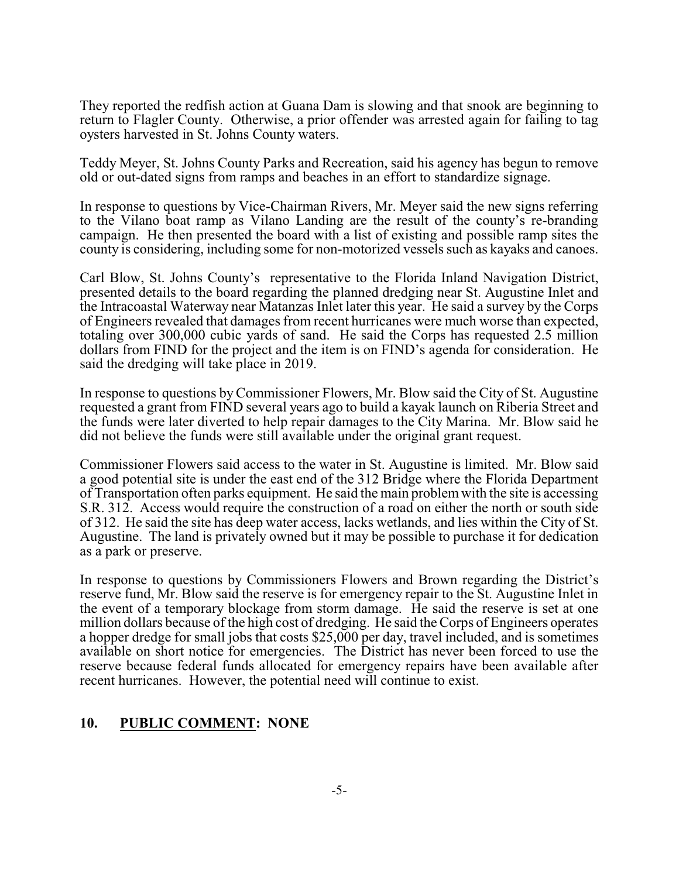They reported the redfish action at Guana Dam is slowing and that snook are beginning to return to Flagler County. Otherwise, a prior offender was arrested again for failing to tag oysters harvested in St. Johns County waters.

Teddy Meyer, St. Johns County Parks and Recreation, said his agency has begun to remove old or out-dated signs from ramps and beaches in an effort to standardize signage.

In response to questions by Vice-Chairman Rivers, Mr. Meyer said the new signs referring to the Vilano boat ramp as Vilano Landing are the result of the county's re-branding campaign. He then presented the board with a list of existing and possible ramp sites the county is considering, including some for non-motorized vessels such as kayaks and canoes.

Carl Blow, St. Johns County's representative to the Florida Inland Navigation District, presented details to the board regarding the planned dredging near St. Augustine Inlet and the Intracoastal Waterway near Matanzas Inlet later this year. He said a survey by the Corps of Engineers revealed that damages from recent hurricanes were much worse than expected, totaling over 300,000 cubic yards of sand. He said the Corps has requested 2.5 million dollars from FIND for the project and the item is on FIND's agenda for consideration. He said the dredging will take place in 2019.

In response to questions byCommissioner Flowers, Mr. Blow said the City of St. Augustine requested a grant from FIND several years ago to build a kayak launch on Riberia Street and the funds were later diverted to help repair damages to the City Marina. Mr. Blow said he did not believe the funds were still available under the original grant request.

Commissioner Flowers said access to the water in St. Augustine is limited. Mr. Blow said a good potential site is under the east end of the 312 Bridge where the Florida Department of Transportation often parks equipment. He said the main problemwith the site is accessing S.R. 312. Access would require the construction of a road on either the north or south side of 312. He said the site has deep water access, lacks wetlands, and lies within the City of St. Augustine. The land is privately owned but it may be possible to purchase it for dedication as a park or preserve.

In response to questions by Commissioners Flowers and Brown regarding the District's reserve fund, Mr. Blow said the reserve is for emergency repair to the St. Augustine Inlet in the event of a temporary blockage from storm damage. He said the reserve is set at one million dollars because of the high cost of dredging. He said the Corps of Engineers operates a hopper dredge for small jobs that costs \$25,000 per day, travel included, and is sometimes available on short notice for emergencies. The District has never been forced to use the reserve because federal funds allocated for emergency repairs have been available after recent hurricanes. However, the potential need will continue to exist.

#### **10. PUBLIC COMMENT: NONE**